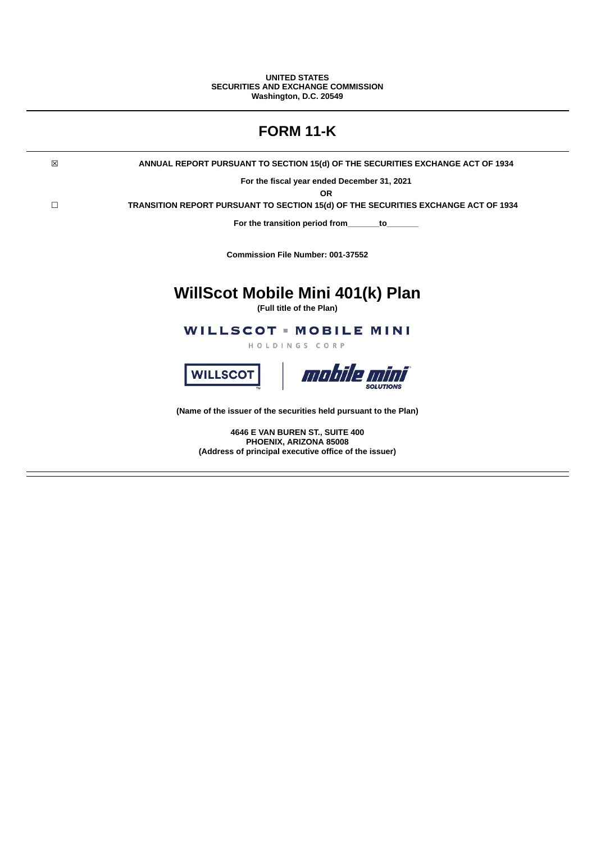### **UNITED STATES SECURITIES AND EXCHANGE COMMISSION Washington, D.C. 20549**

|   | <b>FORM 11-K</b>                                                                   |
|---|------------------------------------------------------------------------------------|
| 区 | ANNUAL REPORT PURSUANT TO SECTION 15(d) OF THE SECURITIES EXCHANGE ACT OF 1934     |
|   | For the fiscal year ended December 31, 2021<br><b>OR</b>                           |
| □ | TRANSITION REPORT PURSUANT TO SECTION 15(d) OF THE SECURITIES EXCHANGE ACT OF 1934 |
|   | For the transition period from<br>to to                                            |
|   | Commission File Number: 001-37552                                                  |
|   | WillScot Mobile Mini 401(k) Plan<br>(Full title of the Plan)                       |
|   | <b>WILLSCOT - MOBILE MINI</b><br>HOLDINGS CORP                                     |
|   | mobile mini<br><b>WILLSCOT</b>                                                     |
|   | (Name of the issuer of the securities held pursuant to the Plan)                   |
|   | 4646 E VAN BUREN ST., SUITE 400                                                    |

**PHOENIX, ARIZONA 85008 (Address of principal executive office of the issuer)**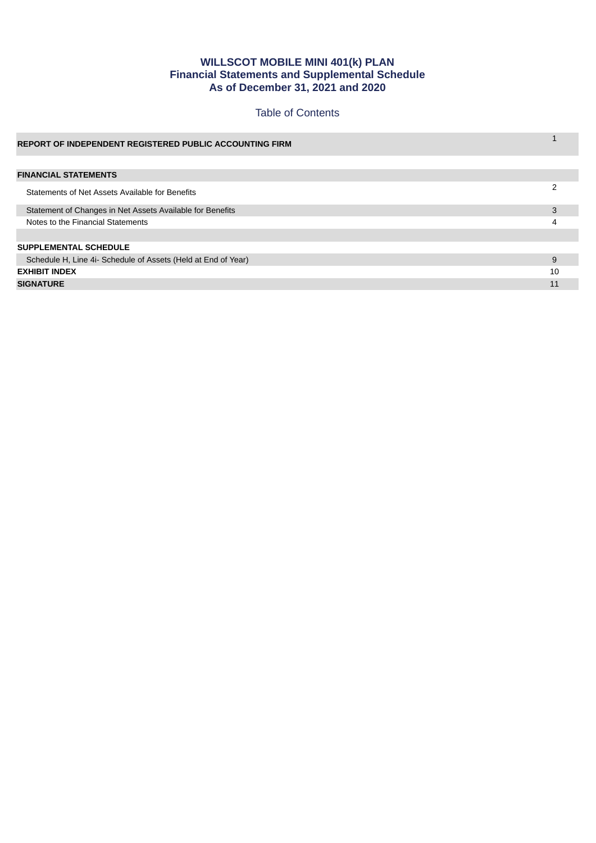# **WILLSCOT MOBILE MINI 401(k) PLAN Financial Statements and Supplemental Schedule As of December 31, 2021 and 2020**

# Table of Contents

| <b>REPORT OF INDEPENDENT REGISTERED PUBLIC ACCOUNTING FIRM</b> |    |  |
|----------------------------------------------------------------|----|--|
|                                                                |    |  |
| <b>FINANCIAL STATEMENTS</b>                                    |    |  |
| Statements of Net Assets Available for Benefits                | າ  |  |
| Statement of Changes in Net Assets Available for Benefits      | 3  |  |
| Notes to the Financial Statements                              |    |  |
|                                                                |    |  |
| <b>SUPPLEMENTAL SCHEDULE</b>                                   |    |  |
| Schedule H, Line 4i- Schedule of Assets (Held at End of Year)  | 9  |  |
| <b>EXHIBIT INDEX</b>                                           | 10 |  |
| <b>SIGNATURE</b>                                               |    |  |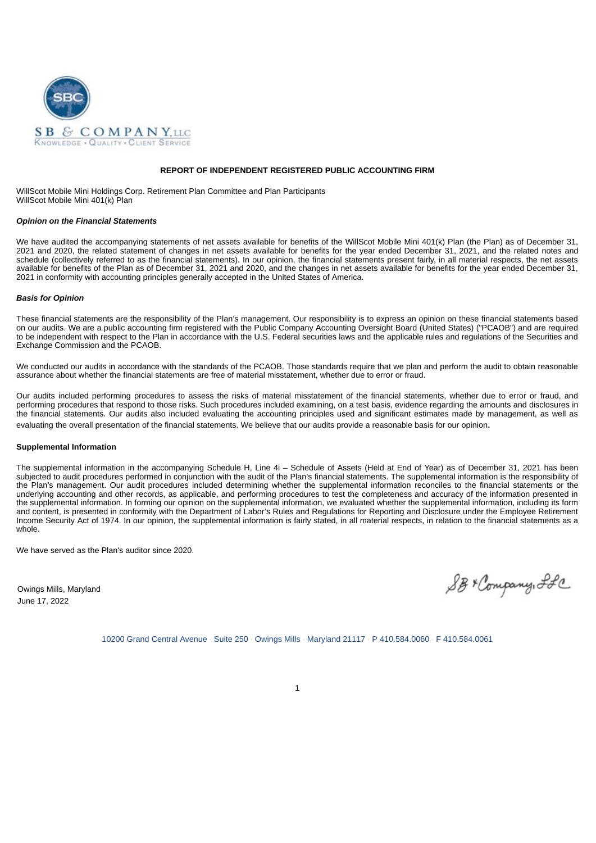

### **REPORT OF INDEPENDENT REGISTERED PUBLIC ACCOUNTING FIRM**

WillScot Mobile Mini Holdings Corp. Retirement Plan Committee and Plan Participants WillScot Mobile Mini 401(k) Plan

#### *Opinion on the Financial Statements*

We have audited the accompanying statements of net assets available for benefits of the WillScot Mobile Mini 401(k) Plan (the Plan) as of December 31, 2021 and 2020, the related statement of changes in net assets available for benefits for the year ended December 31, 2021, and the related notes and schedule (collectively referred to as the financial statements). In our opinion, the financial statements present fairly, in all material respects, the net assets available for benefits of the Plan as of December 31, 2021 and 2020, and the changes in net assets available for benefits for the year ended December 31, 2021 in conformity with accounting principles generally accepted in the United States of America.

#### *Basis for Opinion*

These financial statements are the responsibility of the Plan's management. Our responsibility is to express an opinion on these financial statements based on our audits. We are a public accounting firm registered with the Public Company Accounting Oversight Board (United States) ("PCAOB") and are required to be independent with respect to the Plan in accordance with the U.S. Federal securities laws and the applicable rules and regulations of the Securities and Exchange Commission and the PCAOB.

We conducted our audits in accordance with the standards of the PCAOB. Those standards require that we plan and perform the audit to obtain reasonable assurance about whether the financial statements are free of material misstatement, whether due to error or fraud.

Our audits included performing procedures to assess the risks of material misstatement of the financial statements, whether due to error or fraud, and performing procedures that respond to those risks. Such procedures included examining, on a test basis, evidence regarding the amounts and disclosures in the financial statements. Our audits also included evaluating the accounting principles used and significant estimates made by management, as well as evaluating the overall presentation of the financial statements. We believe that our audits provide a reasonable basis for our opinion.

### **Supplemental Information**

The supplemental information in the accompanying Schedule H, Line 4i – Schedule of Assets (Held at End of Year) as of December 31, 2021 has been subjected to audit procedures performed in conjunction with the audit of the Plan's financial statements. The supplemental information is the responsibility of the Plan's management. Our audit procedures included determining whether the supplemental information reconciles to the financial statements or the underlying accounting and other records, as applicable, and performing procedures to test the completeness and accuracy of the information presented in the supplemental information. In forming our opinion on the supplemental information, we evaluated whether the supplemental information, including its form and content, is presented in conformity with the Department of Labor's Rules and Regulations for Reporting and Disclosure under the Employee Retirement Income Security Act of 1974. In our opinion, the supplemental information is fairly stated, in all material respects, in relation to the financial statements as a whole.

We have served as the Plan's auditor since 2020.

Owings Mills, Maryland June 17, 2022

SB+ Company, SLC

10200 Grand Central Avenue · Suite 250 · Owings Mills · Maryland 21117 · P 410.584.0060 · F 410.584.0061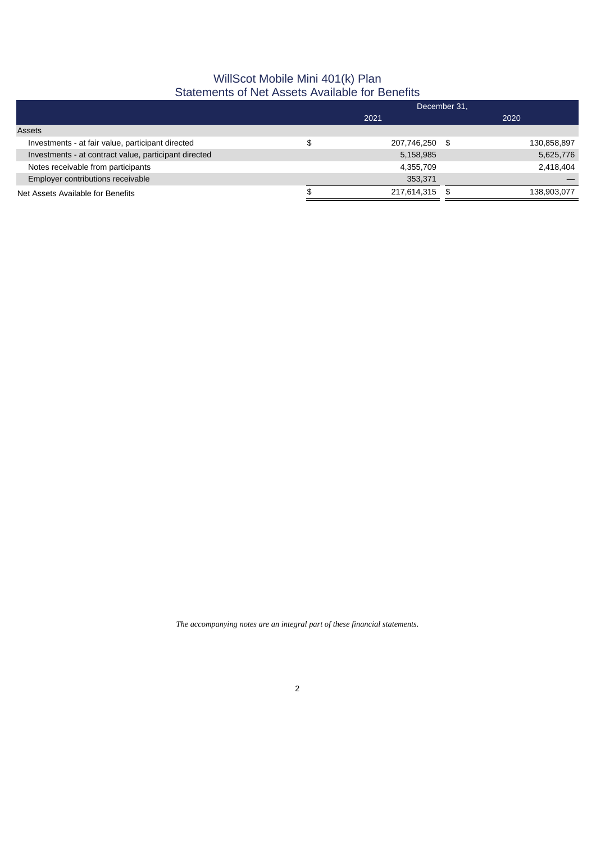# WillScot Mobile Mini 401(k) Plan Statements of Net Assets Available for Benefits

|                                                       | December 31, |                |      |             |  |  |  |
|-------------------------------------------------------|--------------|----------------|------|-------------|--|--|--|
|                                                       | 2021         |                |      | 2020        |  |  |  |
| Assets                                                |              |                |      |             |  |  |  |
| Investments - at fair value, participant directed     |              | 207,746,250 \$ |      | 130,858,897 |  |  |  |
| Investments - at contract value, participant directed |              | 5,158,985      |      | 5,625,776   |  |  |  |
| Notes receivable from participants                    |              | 4.355.709      |      | 2.418.404   |  |  |  |
| Employer contributions receivable                     |              | 353,371        |      |             |  |  |  |
| Net Assets Available for Benefits                     |              | 217,614,315    | - \$ | 138,903,077 |  |  |  |

*The accompanying notes are an integral part of these financial statements.*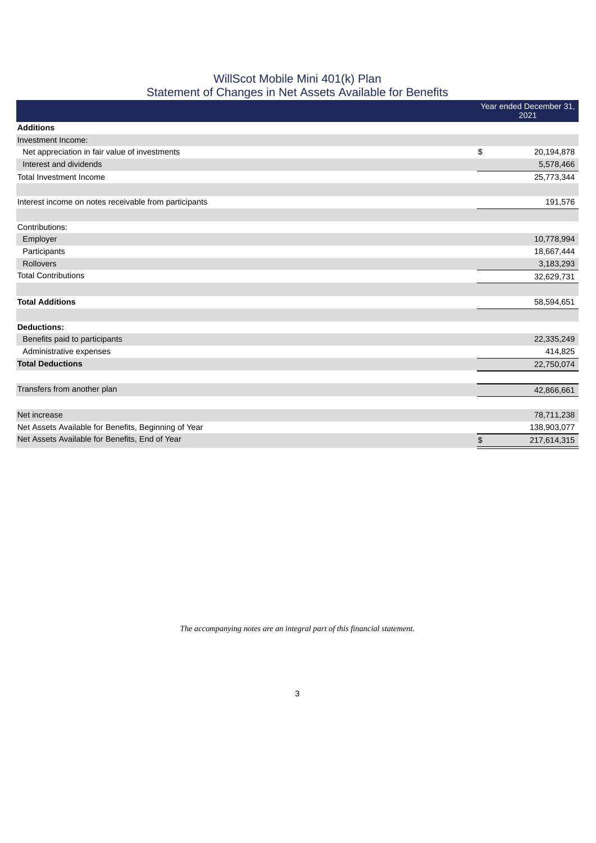# WillScot Mobile Mini 401(k) Plan Statement of Changes in Net Assets Available for Benefits

| <u> - </u>                                            |                                 |
|-------------------------------------------------------|---------------------------------|
|                                                       | Year ended December 31,<br>2021 |
| <b>Additions</b>                                      |                                 |
| Investment Income:                                    |                                 |
| Net appreciation in fair value of investments         | \$<br>20,194,878                |
| Interest and dividends                                | 5,578,466                       |
| Total Investment Income                               | 25,773,344                      |
|                                                       |                                 |
| Interest income on notes receivable from participants | 191,576                         |
|                                                       |                                 |
| Contributions:                                        |                                 |
| Employer                                              | 10,778,994                      |
| Participants                                          | 18,667,444                      |
| <b>Rollovers</b>                                      | 3,183,293                       |
| <b>Total Contributions</b>                            | 32,629,731                      |
|                                                       |                                 |
| <b>Total Additions</b>                                | 58,594,651                      |
|                                                       |                                 |
| <b>Deductions:</b>                                    |                                 |
| Benefits paid to participants                         | 22,335,249                      |
| Administrative expenses                               | 414,825                         |
| <b>Total Deductions</b>                               | 22,750,074                      |
|                                                       |                                 |
| Transfers from another plan                           | 42,866,661                      |
|                                                       |                                 |
| Net increase                                          | 78,711,238                      |
| Net Assets Available for Benefits, Beginning of Year  | 138,903,077                     |
| Net Assets Available for Benefits, End of Year        | \$<br>217,614,315               |
|                                                       |                                 |

*The accompanying notes are an integral part of this financial statement.*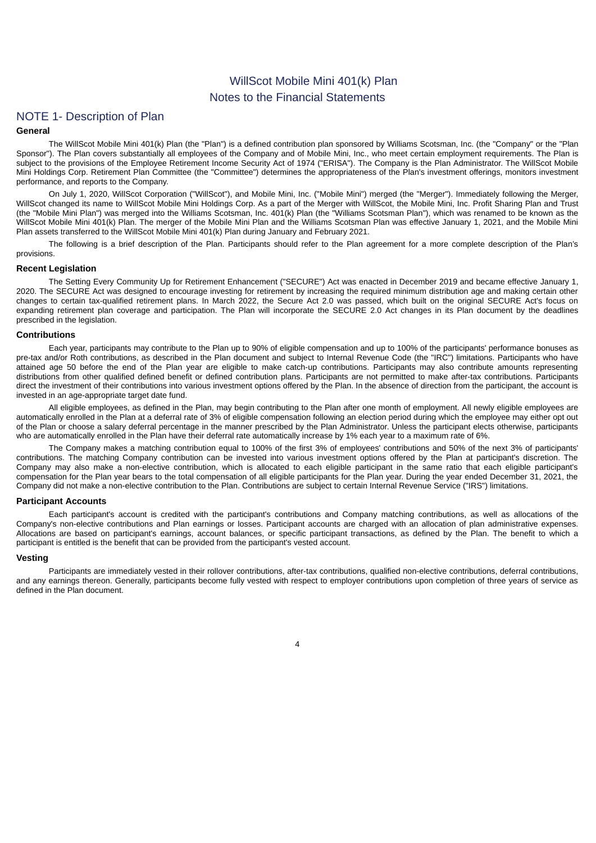# WillScot Mobile Mini 401(k) Plan Notes to the Financial Statements

# NOTE 1- Description of Plan

## **General**

The WillScot Mobile Mini 401(k) Plan (the "Plan") is a defined contribution plan sponsored by Williams Scotsman, Inc. (the "Company" or the "Plan Sponsor"). The Plan covers substantially all employees of the Company and of Mobile Mini, Inc., who meet certain employment requirements. The Plan is subject to the provisions of the Employee Retirement Income Security Act of 1974 ("ERISA"). The Company is the Plan Administrator. The WillScot Mobile Mini Holdings Corp. Retirement Plan Committee (the "Committee") determines the appropriateness of the Plan's investment offerings, monitors investment performance, and reports to the Company.

On July 1, 2020, WillScot Corporation ("WillScot"), and Mobile Mini, Inc. ("Mobile Mini") merged (the "Merger"). Immediately following the Merger, WillScot changed its name to WillScot Mobile Mini Holdings Corp. As a part of the Merger with WillScot, the Mobile Mini, Inc. Profit Sharing Plan and Trust (the "Mobile Mini Plan") was merged into the Williams Scotsman, Inc. 401(k) Plan (the "Williams Scotsman Plan"), which was renamed to be known as the WillScot Mobile Mini 401(k) Plan. The merger of the Mobile Mini Plan and the Williams Scotsman Plan was effective January 1, 2021, and the Mobile Mini Plan assets transferred to the WillScot Mobile Mini 401(k) Plan during January and February 2021.

The following is a brief description of the Plan. Participants should refer to the Plan agreement for a more complete description of the Plan's provisions.

### **Recent Legislation**

The Setting Every Community Up for Retirement Enhancement ("SECURE") Act was enacted in December 2019 and became effective January 1, 2020. The SECURE Act was designed to encourage investing for retirement by increasing the required minimum distribution age and making certain other changes to certain tax-qualified retirement plans. In March 2022, the Secure Act 2.0 was passed, which built on the original SECURE Act's focus on expanding retirement plan coverage and participation. The Plan will incorporate the SECURE 2.0 Act changes in its Plan document by the deadlines prescribed in the legislation.

### **Contributions**

Each year, participants may contribute to the Plan up to 90% of eligible compensation and up to 100% of the participants' performance bonuses as pre-tax and/or Roth contributions, as described in the Plan document and subject to Internal Revenue Code (the "IRC") limitations. Participants who have attained age 50 before the end of the Plan year are eligible to make catch-up contributions. Participants may also contribute amounts representing distributions from other qualified defined benefit or defined contribution plans. Participants are not permitted to make after-tax contributions. Participants direct the investment of their contributions into various investment options offered by the Plan. In the absence of direction from the participant, the account is invested in an age-appropriate target date fund.

All eligible employees, as defined in the Plan, may begin contributing to the Plan after one month of employment. All newly eligible employees are automatically enrolled in the Plan at a deferral rate of 3% of eligible compensation following an election period during which the employee may either opt out of the Plan or choose a salary deferral percentage in the manner prescribed by the Plan Administrator. Unless the participant elects otherwise, participants who are automatically enrolled in the Plan have their deferral rate automatically increase by 1% each year to a maximum rate of 6%.

The Company makes a matching contribution equal to 100% of the first 3% of employees' contributions and 50% of the next 3% of participants' contributions. The matching Company contribution can be invested into various investment options offered by the Plan at participant's discretion. The Company may also make a non-elective contribution, which is allocated to each eligible participant in the same ratio that each eligible participant's compensation for the Plan year bears to the total compensation of all eligible participants for the Plan year. During the year ended December 31, 2021, the Company did not make a non-elective contribution to the Plan. Contributions are subject to certain Internal Revenue Service ("IRS") limitations.

### **Participant Accounts**

Each participant's account is credited with the participant's contributions and Company matching contributions, as well as allocations of the Company's non-elective contributions and Plan earnings or losses. Participant accounts are charged with an allocation of plan administrative expenses. Allocations are based on participant's earnings, account balances, or specific participant transactions, as defined by the Plan. The benefit to which a participant is entitled is the benefit that can be provided from the participant's vested account.

### **Vesting**

Participants are immediately vested in their rollover contributions, after-tax contributions, qualified non-elective contributions, deferral contributions, and any earnings thereon. Generally, participants become fully vested with respect to employer contributions upon completion of three years of service as defined in the Plan document.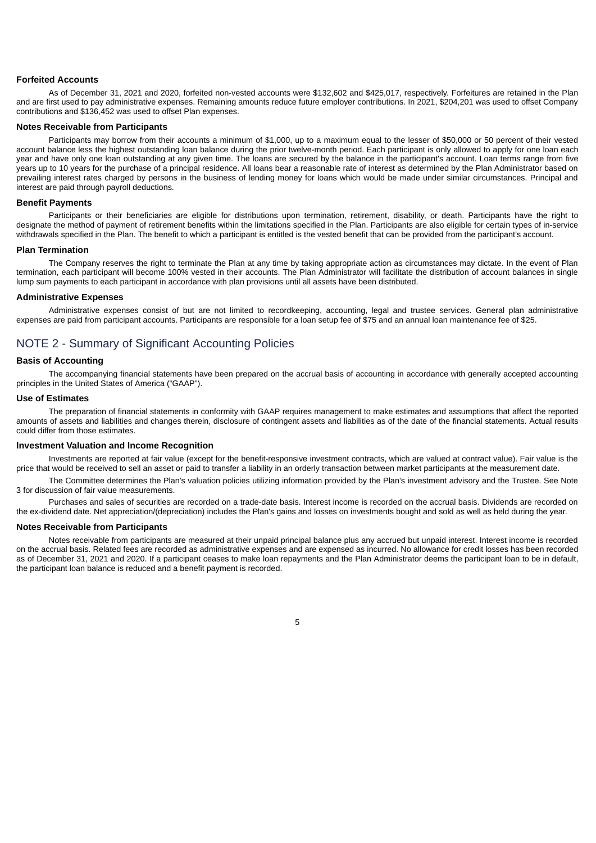### **Forfeited Accounts**

As of December 31, 2021 and 2020, forfeited non-vested accounts were \$132,602 and \$425,017, respectively. Forfeitures are retained in the Plan and are first used to pay administrative expenses. Remaining amounts reduce future employer contributions. In 2021, \$204,201 was used to offset Company contributions and \$136,452 was used to offset Plan expenses.

### **Notes Receivable from Participants**

Participants may borrow from their accounts a minimum of \$1,000, up to a maximum equal to the lesser of \$50,000 or 50 percent of their vested account balance less the highest outstanding loan balance during the prior twelve-month period. Each participant is only allowed to apply for one loan each year and have only one loan outstanding at any given time. The loans are secured by the balance in the participant's account. Loan terms range from five years up to 10 years for the purchase of a principal residence. All loans bear a reasonable rate of interest as determined by the Plan Administrator based on prevailing interest rates charged by persons in the business of lending money for loans which would be made under similar circumstances. Principal and interest are paid through payroll deductions.

### **Benefit Payments**

Participants or their beneficiaries are eligible for distributions upon termination, retirement, disability, or death. Participants have the right to designate the method of payment of retirement benefits within the limitations specified in the Plan. Participants are also eligible for certain types of in-service withdrawals specified in the Plan. The benefit to which a participant is entitled is the vested benefit that can be provided from the participant's account.

### **Plan Termination**

The Company reserves the right to terminate the Plan at any time by taking appropriate action as circumstances may dictate. In the event of Plan termination, each participant will become 100% vested in their accounts. The Plan Administrator will facilitate the distribution of account balances in single lump sum payments to each participant in accordance with plan provisions until all assets have been distributed.

#### **Administrative Expenses**

Administrative expenses consist of but are not limited to recordkeeping, accounting, legal and trustee services. General plan administrative expenses are paid from participant accounts. Participants are responsible for a loan setup fee of \$75 and an annual loan maintenance fee of \$25.

# NOTE 2 - Summary of Significant Accounting Policies

#### **Basis of Accounting**

The accompanying financial statements have been prepared on the accrual basis of accounting in accordance with generally accepted accounting principles in the United States of America ("GAAP").

### **Use of Estimates**

The preparation of financial statements in conformity with GAAP requires management to make estimates and assumptions that affect the reported amounts of assets and liabilities and changes therein, disclosure of contingent assets and liabilities as of the date of the financial statements. Actual results could differ from those estimates.

#### **Investment Valuation and Income Recognition**

Investments are reported at fair value (except for the benefit-responsive investment contracts, which are valued at contract value). Fair value is the price that would be received to sell an asset or paid to transfer a liability in an orderly transaction between market participants at the measurement date.

The Committee determines the Plan's valuation policies utilizing information provided by the Plan's investment advisory and the Trustee. See Note 3 for discussion of fair value measurements.

Purchases and sales of securities are recorded on a trade-date basis. Interest income is recorded on the accrual basis. Dividends are recorded on the ex-dividend date. Net appreciation/(depreciation) includes the Plan's gains and losses on investments bought and sold as well as held during the year.

### **Notes Receivable from Participants**

Notes receivable from participants are measured at their unpaid principal balance plus any accrued but unpaid interest. Interest income is recorded on the accrual basis. Related fees are recorded as administrative expenses and are expensed as incurred. No allowance for credit losses has been recorded as of December 31, 2021 and 2020. If a participant ceases to make loan repayments and the Plan Administrator deems the participant loan to be in default, the participant loan balance is reduced and a benefit payment is recorded.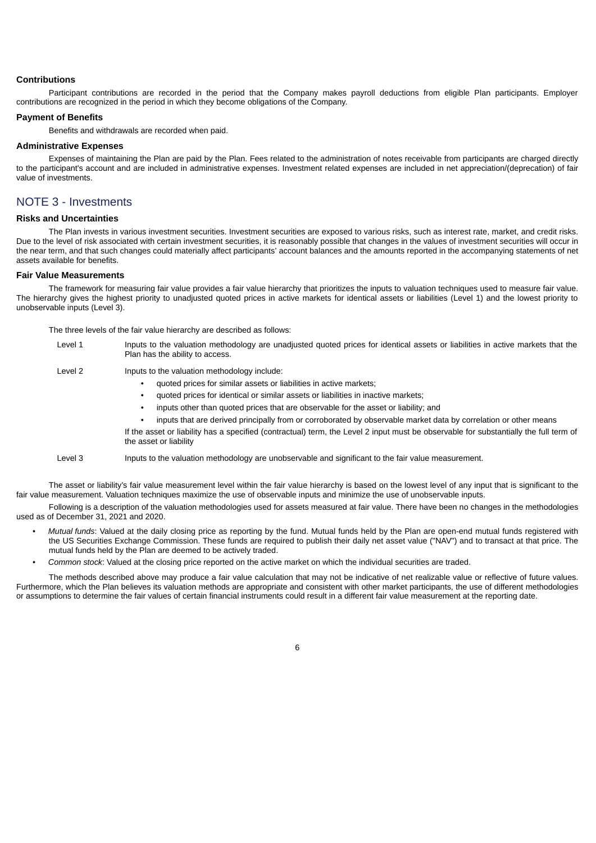### **Contributions**

Participant contributions are recorded in the period that the Company makes payroll deductions from eligible Plan participants. Employer contributions are recognized in the period in which they become obligations of the Company.

### **Payment of Benefits**

Benefits and withdrawals are recorded when paid.

### **Administrative Expenses**

Expenses of maintaining the Plan are paid by the Plan. Fees related to the administration of notes receivable from participants are charged directly to the participant's account and are included in administrative expenses. Investment related expenses are included in net appreciation/(deprecation) of fair value of investments.

# NOTE 3 - Investments

### **Risks and Uncertainties**

The Plan invests in various investment securities. Investment securities are exposed to various risks, such as interest rate, market, and credit risks. Due to the level of risk associated with certain investment securities, it is reasonably possible that changes in the values of investment securities will occur in the near term, and that such changes could materially affect participants' account balances and the amounts reported in the accompanying statements of net assets available for benefits.

### **Fair Value Measurements**

The framework for measuring fair value provides a fair value hierarchy that prioritizes the inputs to valuation techniques used to measure fair value. The hierarchy gives the highest priority to unadjusted quoted prices in active markets for identical assets or liabilities (Level 1) and the lowest priority to unobservable inputs (Level 3).

The three levels of the fair value hierarchy are described as follows:

| Level 1 | Inputs to the valuation methodology are unadjusted quoted prices for identical assets or liabilities in active markets that the<br>Plan has the ability to access.                                                                                                                                                                                                                                                                                                                                                                                                                    |
|---------|---------------------------------------------------------------------------------------------------------------------------------------------------------------------------------------------------------------------------------------------------------------------------------------------------------------------------------------------------------------------------------------------------------------------------------------------------------------------------------------------------------------------------------------------------------------------------------------|
| Level 2 | Inputs to the valuation methodology include:<br>quoted prices for similar assets or liabilities in active markets:<br>quoted prices for identical or similar assets or liabilities in inactive markets;<br>inputs other than quoted prices that are observable for the asset or liability; and<br>inputs that are derived principally from or corroborated by observable market data by correlation or other means<br>If the asset or liability has a specified (contractual) term, the Level 2 input must be observable for substantially the full term of<br>the asset or liability |
| Level 3 | Inputs to the valuation methodology are unobservable and significant to the fair value measurement.                                                                                                                                                                                                                                                                                                                                                                                                                                                                                   |

The asset or liability's fair value measurement level within the fair value hierarchy is based on the lowest level of any input that is significant to the fair value measurement. Valuation techniques maximize the use of observable inputs and minimize the use of unobservable inputs.

Following is a description of the valuation methodologies used for assets measured at fair value. There have been no changes in the methodologies used as of December 31, 2021 and 2020.

- *Mutual funds*: Valued at the daily closing price as reporting by the fund. Mutual funds held by the Plan are open-end mutual funds registered with the US Securities Exchange Commission. These funds are required to publish their daily net asset value ("NAV") and to transact at that price. The mutual funds held by the Plan are deemed to be actively traded.
- *Common stock*: Valued at the closing price reported on the active market on which the individual securities are traded.

The methods described above may produce a fair value calculation that may not be indicative of net realizable value or reflective of future values. Furthermore, which the Plan believes its valuation methods are appropriate and consistent with other market participants, the use of different methodologies or assumptions to determine the fair values of certain financial instruments could result in a different fair value measurement at the reporting date.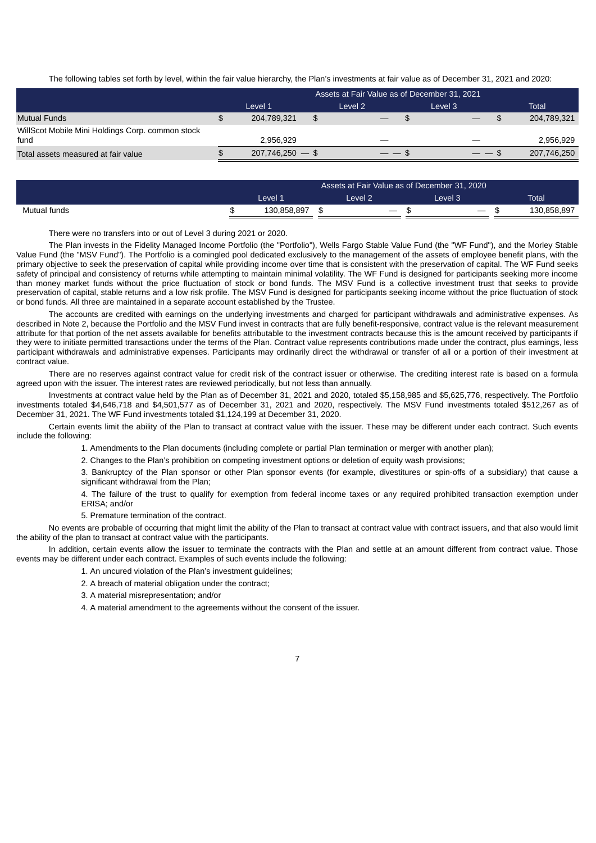The following tables set forth by level, within the fair value hierarchy, the Plan's investments at fair value as of December 31, 2021 and 2020:

|                                                          | Assets at Fair Value as of December 31, 2021 |                   |    |         |  |         |             |  |
|----------------------------------------------------------|----------------------------------------------|-------------------|----|---------|--|---------|-------------|--|
|                                                          |                                              | Level 1           |    | Level 2 |  | Level 3 | Total       |  |
| <b>Mutual Funds</b>                                      |                                              | 204,789,321       | \$ |         |  |         | 204,789,321 |  |
| WillScot Mobile Mini Holdings Corp. common stock<br>fund |                                              | 2.956.929         |    |         |  |         | 2,956,929   |  |
| Total assets measured at fair value                      |                                              | $207,746,250 - $$ |    | — — ა   |  | ——      | 207,746,250 |  |

|              | Assets at Fair Value as of December 31, 2020 |             |         |                   |  |                                 |              |
|--------------|----------------------------------------------|-------------|---------|-------------------|--|---------------------------------|--------------|
|              |                                              | Level 1     | Level 2 |                   |  | Level 3'                        | <b>Total</b> |
| Mutual funds |                                              | 130.858.897 |         | $\hspace{0.05cm}$ |  | $\hspace{0.1mm}-\hspace{0.1mm}$ | 130.858.897  |

There were no transfers into or out of Level 3 during 2021 or 2020.

The Plan invests in the Fidelity Managed Income Portfolio (the "Portfolio"), Wells Fargo Stable Value Fund (the "WF Fund"), and the Morley Stable Value Fund (the "MSV Fund"). The Portfolio is a comingled pool dedicated exclusively to the management of the assets of employee benefit plans, with the primary objective to seek the preservation of capital while providing income over time that is consistent with the preservation of capital. The WF Fund seeks safety of principal and consistency of returns while attempting to maintain minimal volatility. The WF Fund is designed for participants seeking more income than money market funds without the price fluctuation of stock or bond funds. The MSV Fund is a collective investment trust that seeks to provide preservation of capital, stable returns and a low risk profile. The MSV Fund is designed for participants seeking income without the price fluctuation of stock or bond funds. All three are maintained in a separate account established by the Trustee.

The accounts are credited with earnings on the underlying investments and charged for participant withdrawals and administrative expenses. As described in Note 2, because the Portfolio and the MSV Fund invest in contracts that are fully benefit-responsive, contract value is the relevant measurement attribute for that portion of the net assets available for benefits attributable to the investment contracts because this is the amount received by participants if they were to initiate permitted transactions under the terms of the Plan. Contract value represents contributions made under the contract, plus earnings, less participant withdrawals and administrative expenses. Participants may ordinarily direct the withdrawal or transfer of all or a portion of their investment at contract value.

There are no reserves against contract value for credit risk of the contract issuer or otherwise. The crediting interest rate is based on a formula agreed upon with the issuer. The interest rates are reviewed periodically, but not less than annually.

Investments at contract value held by the Plan as of December 31, 2021 and 2020, totaled \$5,158,985 and \$5,625,776, respectively. The Portfolio investments totaled \$4,646,718 and \$4,501,577 as of December 31, 2021 and 2020, respectively. The MSV Fund investments totaled \$512,267 as of December 31, 2021. The WF Fund investments totaled \$1,124,199 at December 31, 2020.

Certain events limit the ability of the Plan to transact at contract value with the issuer. These may be different under each contract. Such events include the following:

1. Amendments to the Plan documents (including complete or partial Plan termination or merger with another plan);

2. Changes to the Plan's prohibition on competing investment options or deletion of equity wash provisions;

3. Bankruptcy of the Plan sponsor or other Plan sponsor events (for example, divestitures or spin-offs of a subsidiary) that cause a significant withdrawal from the Plan;

4. The failure of the trust to qualify for exemption from federal income taxes or any required prohibited transaction exemption under ERISA; and/or

5. Premature termination of the contract.

No events are probable of occurring that might limit the ability of the Plan to transact at contract value with contract issuers, and that also would limit the ability of the plan to transact at contract value with the participants.

In addition, certain events allow the issuer to terminate the contracts with the Plan and settle at an amount different from contract value. Those events may be different under each contract. Examples of such events include the following:

- 1. An uncured violation of the Plan's investment guidelines;
- 2. A breach of material obligation under the contract;
- 3. A material misrepresentation; and/or

4. A material amendment to the agreements without the consent of the issuer.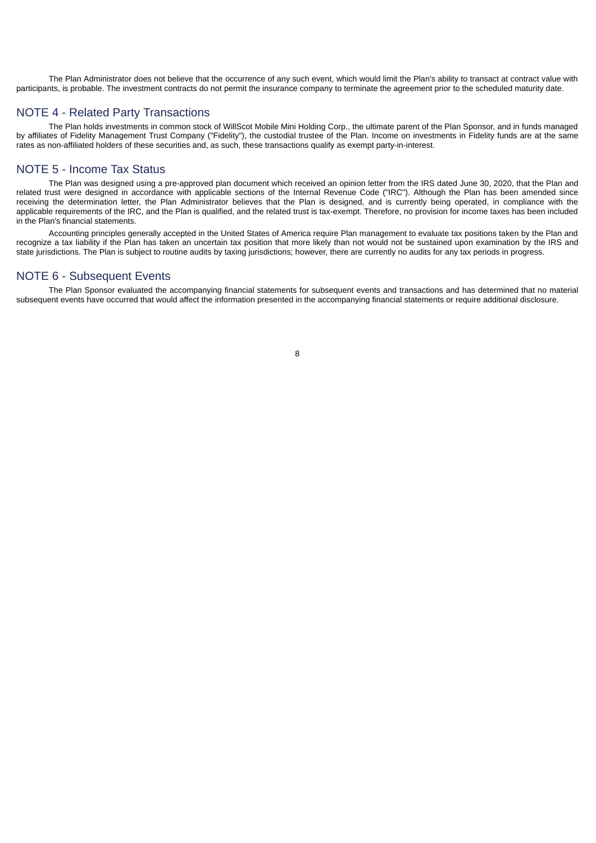The Plan Administrator does not believe that the occurrence of any such event, which would limit the Plan's ability to transact at contract value with participants, is probable. The investment contracts do not permit the insurance company to terminate the agreement prior to the scheduled maturity date.

# NOTE 4 - Related Party Transactions

The Plan holds investments in common stock of WillScot Mobile Mini Holding Corp., the ultimate parent of the Plan Sponsor, and in funds managed by affiliates of Fidelity Management Trust Company ("Fidelity"), the custodial trustee of the Plan. Income on investments in Fidelity funds are at the same rates as non-affiliated holders of these securities and, as such, these transactions qualify as exempt party-in-interest.

# NOTE 5 - Income Tax Status

The Plan was designed using a pre-approved plan document which received an opinion letter from the IRS dated June 30, 2020, that the Plan and related trust were designed in accordance with applicable sections of the Internal Revenue Code ("IRC"). Although the Plan has been amended since receiving the determination letter, the Plan Administrator believes that the Plan is designed, and is currently being operated, in compliance with the applicable requirements of the IRC, and the Plan is qualified, and the related trust is tax-exempt. Therefore, no provision for income taxes has been included in the Plan's financial statements.

Accounting principles generally accepted in the United States of America require Plan management to evaluate tax positions taken by the Plan and recognize a tax liability if the Plan has taken an uncertain tax position that more likely than not would not be sustained upon examination by the IRS and state jurisdictions. The Plan is subject to routine audits by taxing jurisdictions; however, there are currently no audits for any tax periods in progress.

# NOTE 6 - Subsequent Events

The Plan Sponsor evaluated the accompanying financial statements for subsequent events and transactions and has determined that no material subsequent events have occurred that would affect the information presented in the accompanying financial statements or require additional disclosure.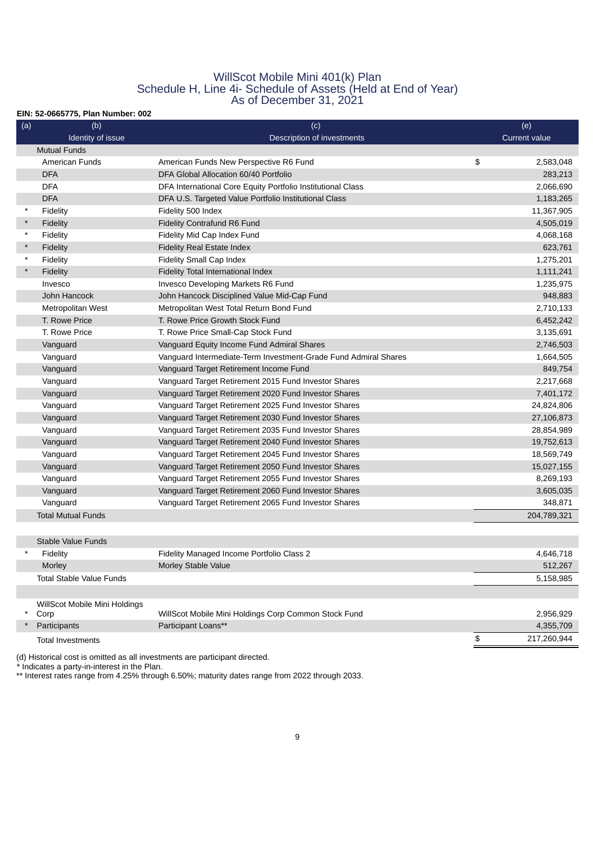# WillScot Mobile Mini 401(k) Plan Schedule H, Line 4i- Schedule of Assets (Held at End of Year) As of December 31, 2021

## **EIN: 52-0665775, Plan Number: 002**

| (a)     | (b)                                             | (c)                                                             | (e)                  |
|---------|-------------------------------------------------|-----------------------------------------------------------------|----------------------|
|         | Identity of issue<br>Description of investments |                                                                 | <b>Current value</b> |
|         | <b>Mutual Funds</b>                             |                                                                 |                      |
|         | <b>American Funds</b>                           | American Funds New Perspective R6 Fund                          | \$<br>2,583,048      |
|         | <b>DFA</b>                                      | DFA Global Allocation 60/40 Portfolio                           | 283,213              |
|         | <b>DFA</b>                                      | DFA International Core Equity Portfolio Institutional Class     | 2,066,690            |
|         | <b>DFA</b>                                      | DFA U.S. Targeted Value Portfolio Institutional Class           | 1,183,265            |
| $\star$ | Fidelity                                        | Fidelity 500 Index                                              | 11,367,905           |
| $\star$ | Fidelity                                        | <b>Fidelity Contrafund R6 Fund</b>                              | 4,505,019            |
| $\star$ | Fidelity                                        | Fidelity Mid Cap Index Fund                                     | 4,068,168            |
| $\star$ | Fidelity                                        | <b>Fidelity Real Estate Index</b>                               | 623,761              |
| $\star$ | Fidelity                                        | Fidelity Small Cap Index                                        | 1,275,201            |
| $\star$ | Fidelity                                        | Fidelity Total International Index                              | 1,111,241            |
|         | Invesco                                         | Invesco Developing Markets R6 Fund                              | 1,235,975            |
|         | John Hancock                                    | John Hancock Disciplined Value Mid-Cap Fund                     | 948,883              |
|         | Metropolitan West                               | Metropolitan West Total Return Bond Fund                        | 2,710,133            |
|         | T. Rowe Price                                   | T. Rowe Price Growth Stock Fund                                 | 6,452,242            |
|         | T. Rowe Price                                   | T. Rowe Price Small-Cap Stock Fund                              | 3,135,691            |
|         | Vanguard                                        | Vanguard Equity Income Fund Admiral Shares                      | 2,746,503            |
|         | Vanguard                                        | Vanguard Intermediate-Term Investment-Grade Fund Admiral Shares | 1,664,505            |
|         | Vanguard                                        | Vanguard Target Retirement Income Fund                          | 849,754              |
|         | Vanguard                                        | Vanguard Target Retirement 2015 Fund Investor Shares            | 2,217,668            |
|         | Vanguard                                        | Vanguard Target Retirement 2020 Fund Investor Shares            | 7,401,172            |
|         | Vanguard                                        | Vanguard Target Retirement 2025 Fund Investor Shares            | 24,824,806           |
|         | Vanguard                                        | Vanguard Target Retirement 2030 Fund Investor Shares            | 27,106,873           |
|         | Vanguard                                        | Vanguard Target Retirement 2035 Fund Investor Shares            | 28,854,989           |
|         | Vanguard                                        | Vanguard Target Retirement 2040 Fund Investor Shares            | 19,752,613           |
|         | Vanguard                                        | Vanguard Target Retirement 2045 Fund Investor Shares            | 18,569,749           |
|         | Vanguard                                        | Vanguard Target Retirement 2050 Fund Investor Shares            | 15,027,155           |
|         | Vanguard                                        | Vanguard Target Retirement 2055 Fund Investor Shares            | 8,269,193            |
|         | Vanguard                                        | Vanguard Target Retirement 2060 Fund Investor Shares            | 3,605,035            |
|         | Vanguard                                        | Vanguard Target Retirement 2065 Fund Investor Shares            | 348,871              |
|         | <b>Total Mutual Funds</b>                       |                                                                 | 204,789,321          |
|         |                                                 |                                                                 |                      |
|         | Stable Value Funds                              |                                                                 |                      |
|         | Fidelity                                        | Fidelity Managed Income Portfolio Class 2                       | 4,646,718            |
|         | Morley                                          | Morley Stable Value                                             | 512,267              |
|         | <b>Total Stable Value Funds</b>                 |                                                                 | 5,158,985            |
|         |                                                 |                                                                 |                      |
|         | WillScot Mobile Mini Holdings                   |                                                                 |                      |
| $\star$ | Corp                                            | WillScot Mobile Mini Holdings Corp Common Stock Fund            | 2,956,929            |
| $\star$ | Participants                                    | Participant Loans**                                             | 4,355,709            |
|         | <b>Total Investments</b>                        |                                                                 | \$<br>217,260,944    |
|         |                                                 |                                                                 |                      |

(d) Historical cost is omitted as all investments are participant directed.

\* Indicates a party-in-interest in the Plan.

\*\* Interest rates range from 4.25% through 6.50%; maturity dates range from 2022 through 2033.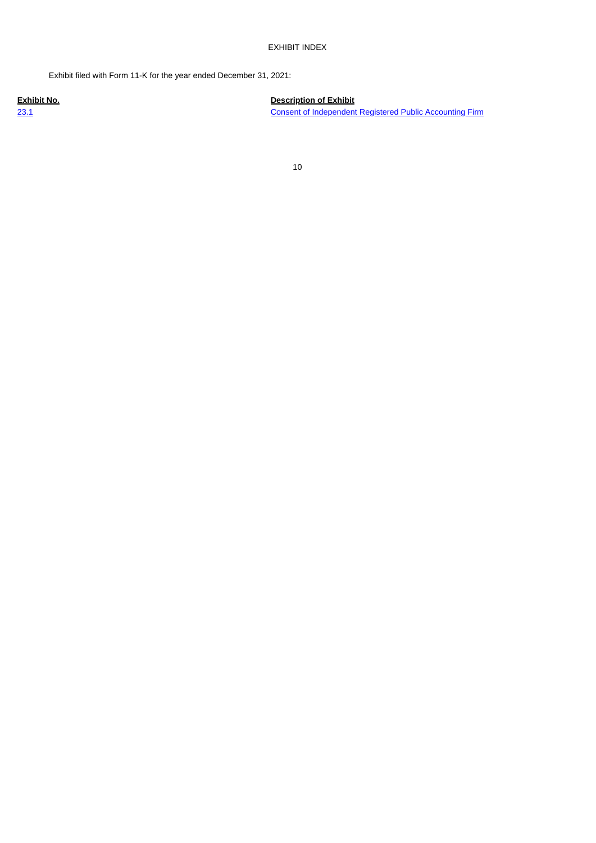## EXHIBIT INDEX

Exhibit filed with Form 11-K for the year ended December 31, 2021:

**Exhibit No. Description of Exhibit** [23.1](#page-13-0) [Consent of Independent Registered Public Accounting Firm](#page-13-0)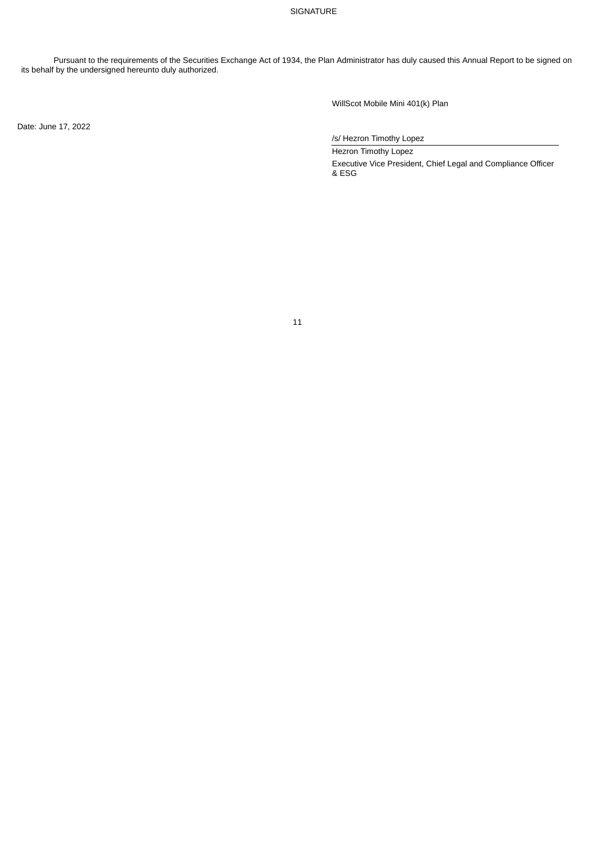## SIGNATURE

Pursuant to the requirements of the Securities Exchange Act of 1934, the Plan Administrator has duly caused this Annual Report to be signed on its behalf by the undersigned hereunto duly authorized.

Date: June 17, 2022

WillScot Mobile Mini 401(k) Plan

/s/ Hezron Timothy Lopez

Hezron Timothy Lopez Executive Vice President, Chief Legal and Compliance Officer & ESG